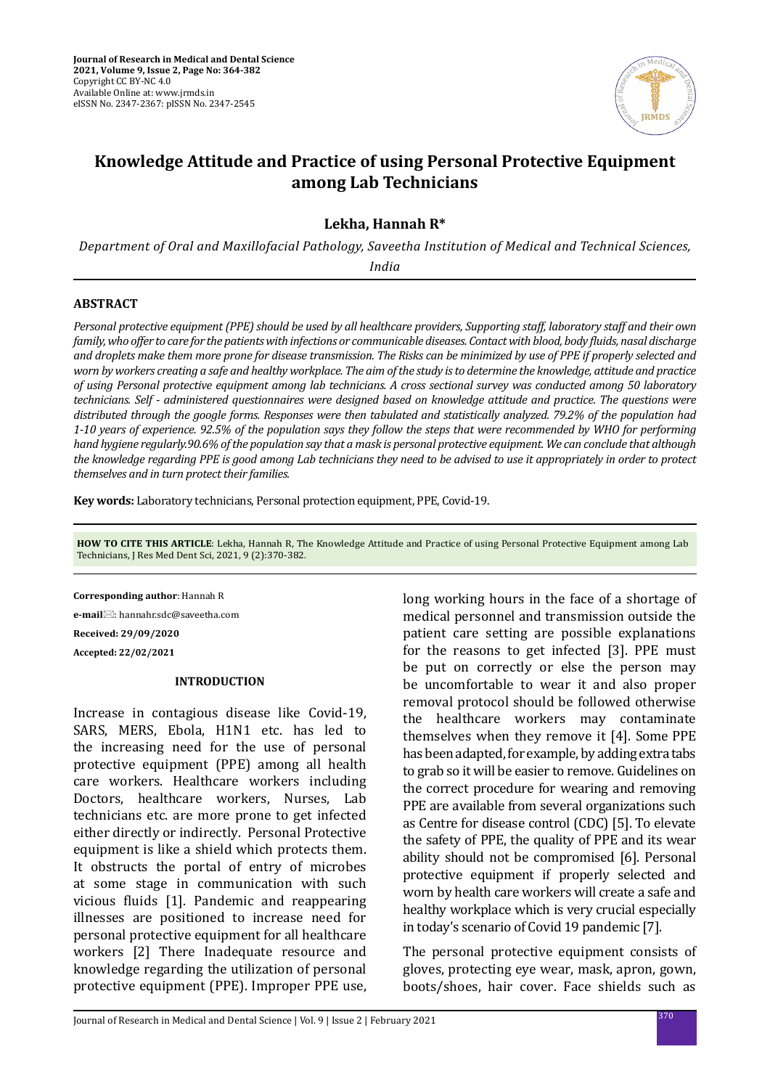

# **Knowledge Attitude and Practice of using Personal Protective Equipment among Lab Technicians**

# **Lekha, Hannah R\***

*Department of Oral and Maxillofacial Pathology, Saveetha Institution of Medical and Technical Sciences,* 

*India*

# **ABSTRACT**

*Personal protective equipment (PPE) should be used by all healthcare providers, Supporting staff, laboratory staff and their own family, who offer to care for the patients with infections or communicable diseases. Contact with blood, body fluids, nasal discharge and droplets make them more prone for disease transmission. The Risks can be minimized by use of PPE if properly selected and worn by workers creating a safe and healthy workplace. The aim of the study is to determine the knowledge, attitude and practice of using Personal protective equipment among lab technicians. A cross sectional survey was conducted among 50 laboratory technicians. Self - administered questionnaires were designed based on knowledge attitude and practice. The questions were distributed through the google forms. Responses were then tabulated and statistically analyzed. 79.2% of the population had 1-10 years of experience. 92.5% of the population says they follow the steps that were recommended by WHO for performing hand hygiene regularly.90.6% of the population say that a mask is personal protective equipment. We can conclude that although the knowledge regarding PPE is good among Lab technicians they need to be advised to use it appropriately in order to protect themselves and in turn protect their families.*

**Key words:** Laboratory technicians, Personal protection equipment, PPE, Covid-19.

**HOW TO CITE THIS ARTICLE**: Lekha, Hannah R, The Knowledge Attitude and Practice of using Personal Protective Equipment among Lab Technicians, J Res Med Dent Sci, 2021, 9 (2):370-382.

**Corresponding author**: Hannah R

**e-mail**: hannahr.sdc@saveetha.com

**Received: 29/09/2020**

**Accepted: 22/02/2021**

#### **INTRODUCTION**

Increase in contagious disease like Covid-19, SARS, MERS, Ebola, H1N1 etc. has led to the increasing need for the use of personal protective equipment (PPE) among all health care workers. Healthcare workers including Doctors, healthcare workers, Nurses, Lab technicians etc. are more prone to get infected either directly or indirectly. Personal Protective equipment is like a shield which protects them. It obstructs the portal of entry of microbes at some stage in communication with such vicious fluids [1]. Pandemic and reappearing illnesses are positioned to increase need for personal protective equipment for all healthcare workers [2] There Inadequate resource and knowledge regarding the utilization of personal protective equipment (PPE). Improper PPE use, long working hours in the face of a shortage of medical personnel and transmission outside the patient care setting are possible explanations for the reasons to get infected [3]. PPE must be put on correctly or else the person may be uncomfortable to wear it and also proper removal protocol should be followed otherwise the healthcare workers may contaminate themselves when they remove it [4]. Some PPE has been adapted, for example, by adding extra tabs to grab so it will be easier to remove. Guidelines on the correct procedure for wearing and removing PPE are available from several organizations such as Centre for disease control (CDC) [5]. To elevate the safety of PPE, the quality of PPE and its wear ability should not be compromised [6]. Personal protective equipment if properly selected and worn by health care workers will create a safe and healthy workplace which is very crucial especially in today's scenario of Covid 19 pandemic [7].

The personal protective equipment consists of gloves, protecting eye wear, mask, apron, gown, boots/shoes, hair cover. Face shields such as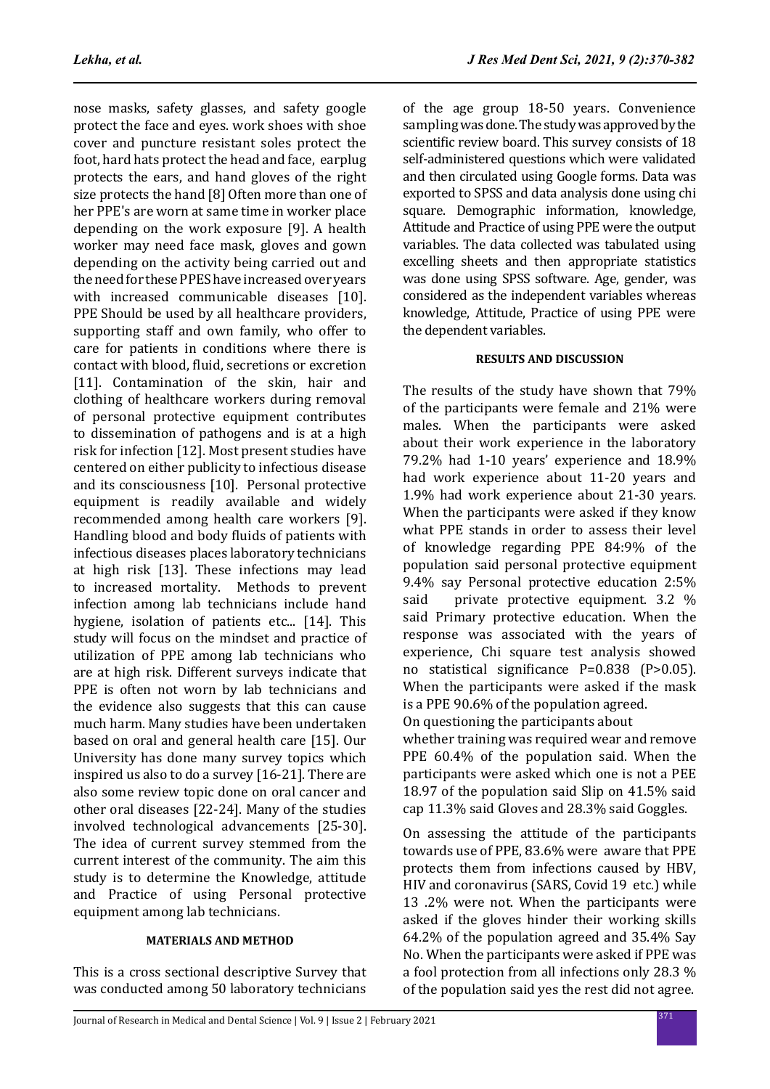nose masks, safety glasses, and safety google protect the face and eyes. work shoes with shoe cover and puncture resistant soles protect the foot, hard hats protect the head and face, earplug protects the ears, and hand gloves of the right size protects the hand [8] Often more than one of her PPE's are worn at same time in worker place depending on the work exposure [9]. A health worker may need face mask, gloves and gown depending on the activity being carried out and the need for these PPES have increased over years with increased communicable diseases [10]. PPE Should be used by all healthcare providers, supporting staff and own family, who offer to care for patients in conditions where there is contact with blood, fluid, secretions or excretion [11]. Contamination of the skin, hair and clothing of healthcare workers during removal of personal protective equipment contributes to dissemination of pathogens and is at a high risk for infection [12]. Most present studies have centered on either publicity to infectious disease and its consciousness [10]. Personal protective equipment is readily available and widely recommended among health care workers [9]. Handling blood and body fluids of patients with infectious diseases places laboratory technicians at high risk [13]. These infections may lead to increased mortality. Methods to prevent infection among lab technicians include hand hygiene, isolation of patients etc... [14]. This study will focus on the mindset and practice of utilization of PPE among lab technicians who are at high risk. Different surveys indicate that PPE is often not worn by lab technicians and the evidence also suggests that this can cause much harm. Many studies have been undertaken based on oral and general health care [15]. Our University has done many survey topics which inspired us also to do a survey [16-21]. There are also some review topic done on oral cancer and other oral diseases [22-24]. Many of the studies involved technological advancements [25-30]. The idea of current survey stemmed from the current interest of the community. The aim this study is to determine the Knowledge, attitude and Practice of using Personal protective equipment among lab technicians.

### **MATERIALS AND METHOD**

This is a cross sectional descriptive Survey that was conducted among 50 laboratory technicians of the age group 18-50 years. Convenience sampling was done. The study was approved by the scientific review board. This survey consists of 18 self-administered questions which were validated and then circulated using Google forms. Data was exported to SPSS and data analysis done using chi square. Demographic information, knowledge, Attitude and Practice of using PPE were the output variables. The data collected was tabulated using excelling sheets and then appropriate statistics was done using SPSS software. Age, gender, was considered as the independent variables whereas knowledge, Attitude, Practice of using PPE were the dependent variables.

# **RESULTS AND DISCUSSION**

The results of the study have shown that 79% of the participants were female and 21% were males. When the participants were asked about their work experience in the laboratory 79.2% had 1-10 years' experience and 18.9% had work experience about 11-20 years and 1.9% had work experience about 21-30 years. When the participants were asked if they know what PPE stands in order to assess their level of knowledge regarding PPE 84:9% of the population said personal protective equipment 9.4% say Personal protective education 2:5%<br>said private protective equipment. 3.2 % private protective equipment. 3.2 % said Primary protective education. When the response was associated with the years of experience, Chi square test analysis showed no statistical significance P=0.838 (P>0.05). When the participants were asked if the mask is a PPE 90.6% of the population agreed. On questioning the participants about

whether training was required wear and remove PPE 60.4% of the population said. When the participants were asked which one is not a PEE 18.97 of the population said Slip on 41.5% said cap 11.3% said Gloves and 28.3% said Goggles.

On assessing the attitude of the participants towards use of PPE, 83.6% were aware that PPE protects them from infections caused by HBV, HIV and coronavirus (SARS, Covid 19 etc.) while 13 .2% were not. When the participants were asked if the gloves hinder their working skills 64.2% of the population agreed and 35.4% Say No. When the participants were asked if PPE was a fool protection from all infections only 28.3 % of the population said yes the rest did not agree.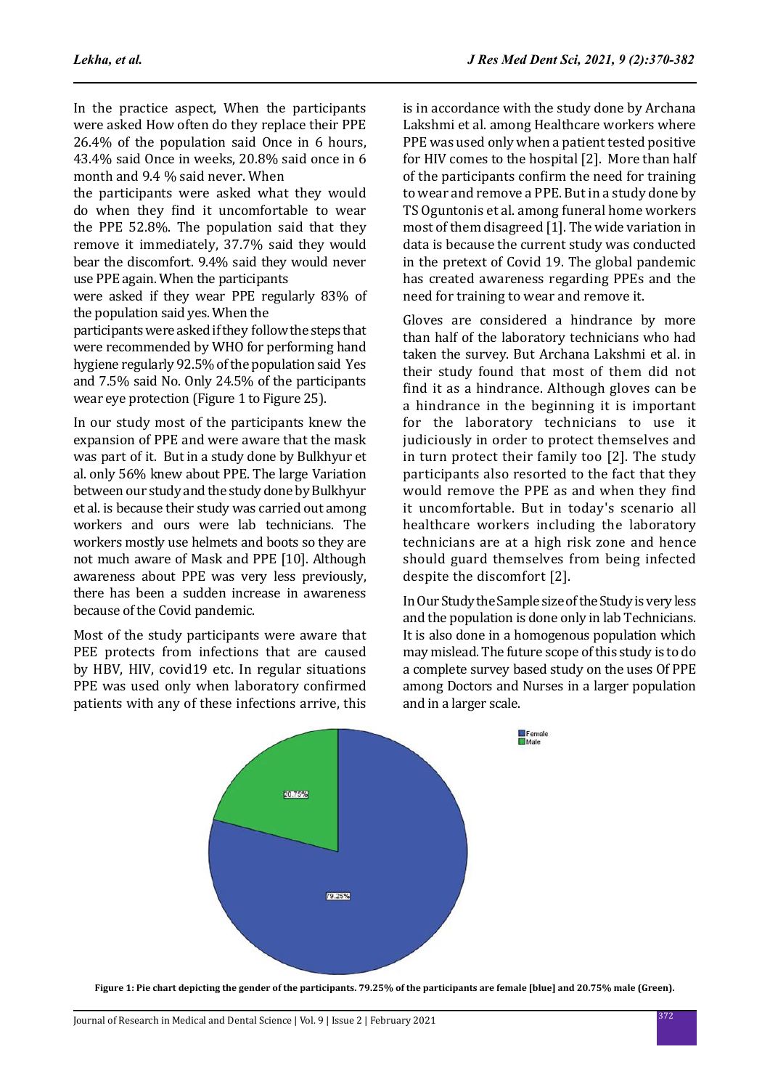In the practice aspect, When the participants were asked How often do they replace their PPE 26.4% of the population said Once in 6 hours, 43.4% said Once in weeks, 20.8% said once in 6 month and 9.4 % said never. When

the participants were asked what they would do when they find it uncomfortable to wear the PPE 52.8%. The population said that they remove it immediately, 37.7% said they would bear the discomfort. 9.4% said they would never use PPE again. When the participants

were asked if they wear PPE regularly 83% of the population said yes. When the

participants were asked if they follow the steps that were recommended by WHO for performing hand hygiene regularly 92.5% of the population said Yes and 7.5% said No. Only 24.5% of the participants wear eye protection (Figure 1 to Figure 25).

In our study most of the participants knew the expansion of PPE and were aware that the mask was part of it. But in a study done by Bulkhyur et al. only 56% knew about PPE. The large Variation between our study and the study done by Bulkhyur et al. is because their study was carried out among workers and ours were lab technicians. The workers mostly use helmets and boots so they are not much aware of Mask and PPE [10]. Although awareness about PPE was very less previously, there has been a sudden increase in awareness because of the Covid pandemic.

Most of the study participants were aware that PEE protects from infections that are caused by HBV, HIV, covid19 etc. In regular situations PPE was used only when laboratory confirmed patients with any of these infections arrive, this is in accordance with the study done by Archana Lakshmi et al. among Healthcare workers where PPE was used only when a patient tested positive for HIV comes to the hospital [2]. More than half of the participants confirm the need for training to wear and remove a PPE. But in a study done by TS Oguntonis et al. among funeral home workers most of them disagreed [1]. The wide variation in data is because the current study was conducted in the pretext of Covid 19. The global pandemic has created awareness regarding PPEs and the need for training to wear and remove it.

Gloves are considered a hindrance by more than half of the laboratory technicians who had taken the survey. But Archana Lakshmi et al. in their study found that most of them did not find it as a hindrance. Although gloves can be a hindrance in the beginning it is important for the laboratory technicians to use it judiciously in order to protect themselves and in turn protect their family too [2]. The study participants also resorted to the fact that they would remove the PPE as and when they find it uncomfortable. But in today's scenario all healthcare workers including the laboratory technicians are at a high risk zone and hence should guard themselves from being infected despite the discomfort [2].

In Our Study the Sample size of the Study is very less and the population is done only in lab Technicians. It is also done in a homogenous population which may mislead. The future scope of this study is to do a complete survey based study on the uses Of PPE among Doctors and Nurses in a larger population and in a larger scale.



**Figure 1: Pie chart depicting the gender of the participants. 79.25% of the participants are female [blue] and 20.75% male (Green).**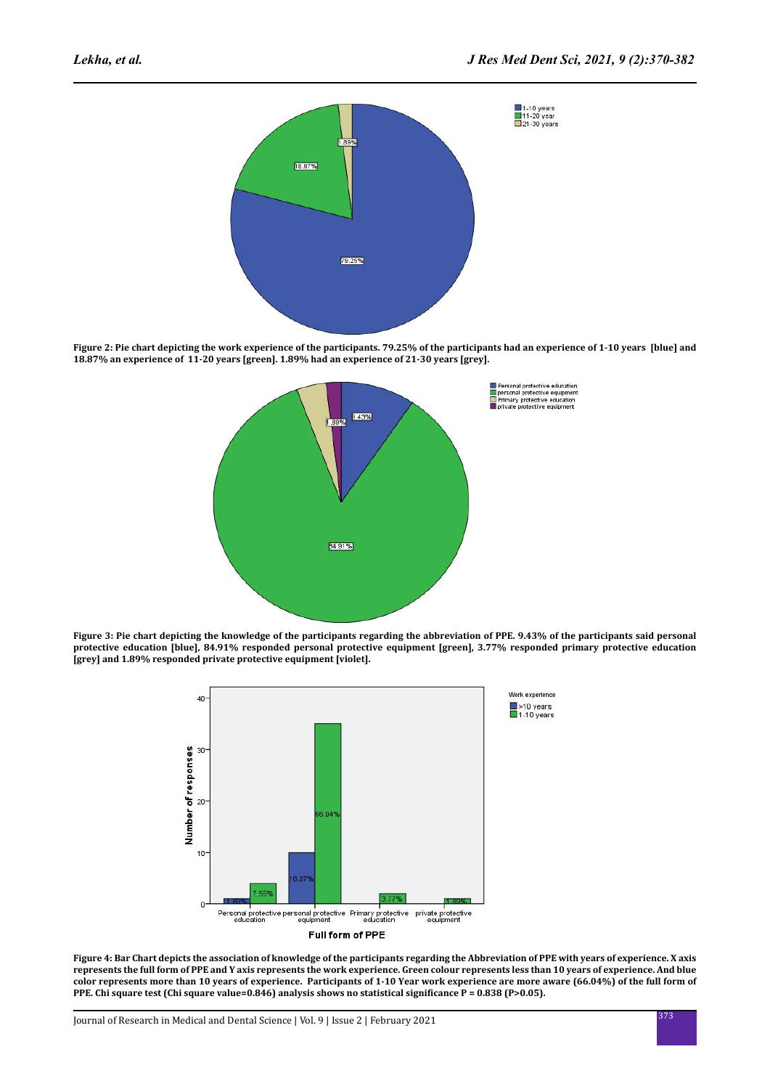

**Figure 2: Pie chart depicting the work experience of the participants. 79.25% of the participants had an experience of 1-10 years [blue] and 18.87% an experience of 11-20 years [green]. 1.89% had an experience of 21-30 years [grey].**



**Figure 3: Pie chart depicting the knowledge of the participants regarding the abbreviation of PPE. 9.43% of the participants said personal protective education [blue], 84.91% responded personal protective equipment [green], 3.77% responded primary protective education [grey] and 1.89% responded private protective equipment [violet].**



**Figure 4: Bar Chart depicts the association of knowledge of the participants regarding the Abbreviation of PPE with years of experience. X axis represents the full form of PPE and Y axis represents the work experience. Green colour represents less than 10 years of experience. And blue color represents more than 10 years of experience. Participants of 1-10 Year work experience are more aware (66.04%) of the full form of PPE. Chi square test (Chi square value=0.846) analysis shows no statistical significance P = 0.838 (P>0.05).**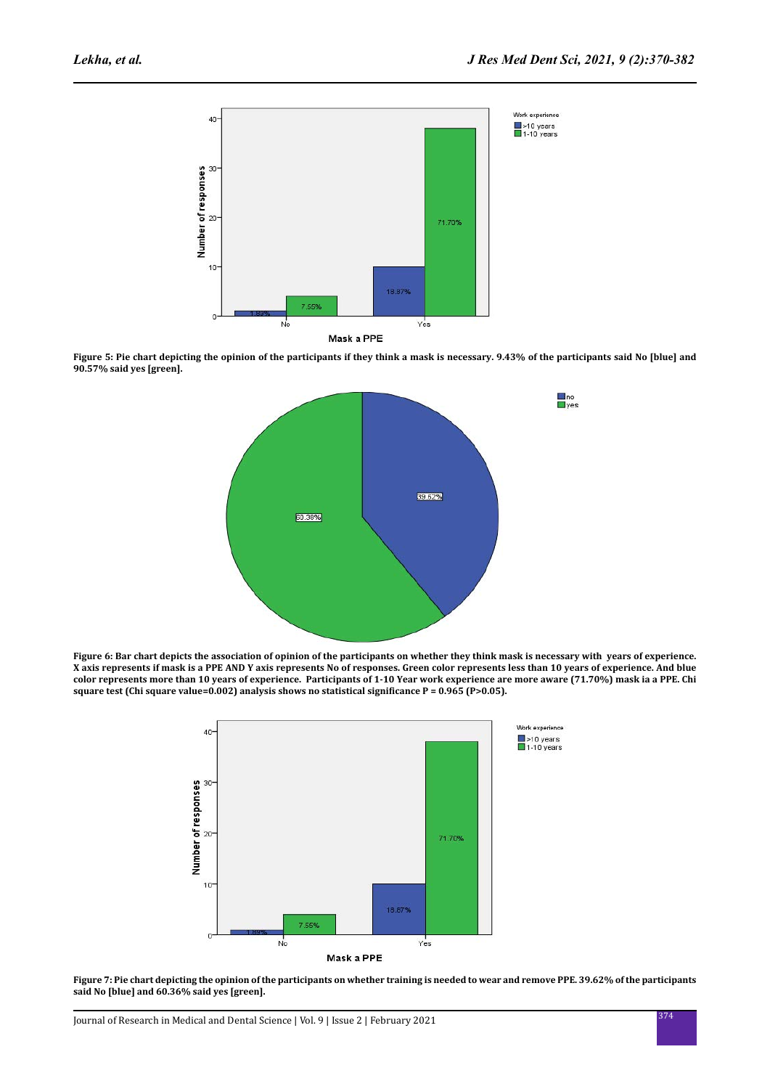

**Figure 5: Pie chart depicting the opinion of the participants if they think a mask is necessary. 9.43% of the participants said No [blue] and 90.57% said yes [green].**



**Figure 6: Bar chart depicts the association of opinion of the participants on whether they think mask is necessary with years of experience. X axis represents if mask is a PPE AND Y axis represents No of responses. Green color represents less than 10 years of experience. And blue color represents more than 10 years of experience. Participants of 1-10 Year work experience are more aware (71.70%) mask ia a PPE. Chi square test (Chi square value=0.002) analysis shows no statistical significance P = 0.965 (P>0.05).**



**Figure 7: Pie chart depicting the opinion of the participants on whether training is needed to wear and remove PPE. 39.62% of the participants said No [blue] and 60.36% said yes [green].**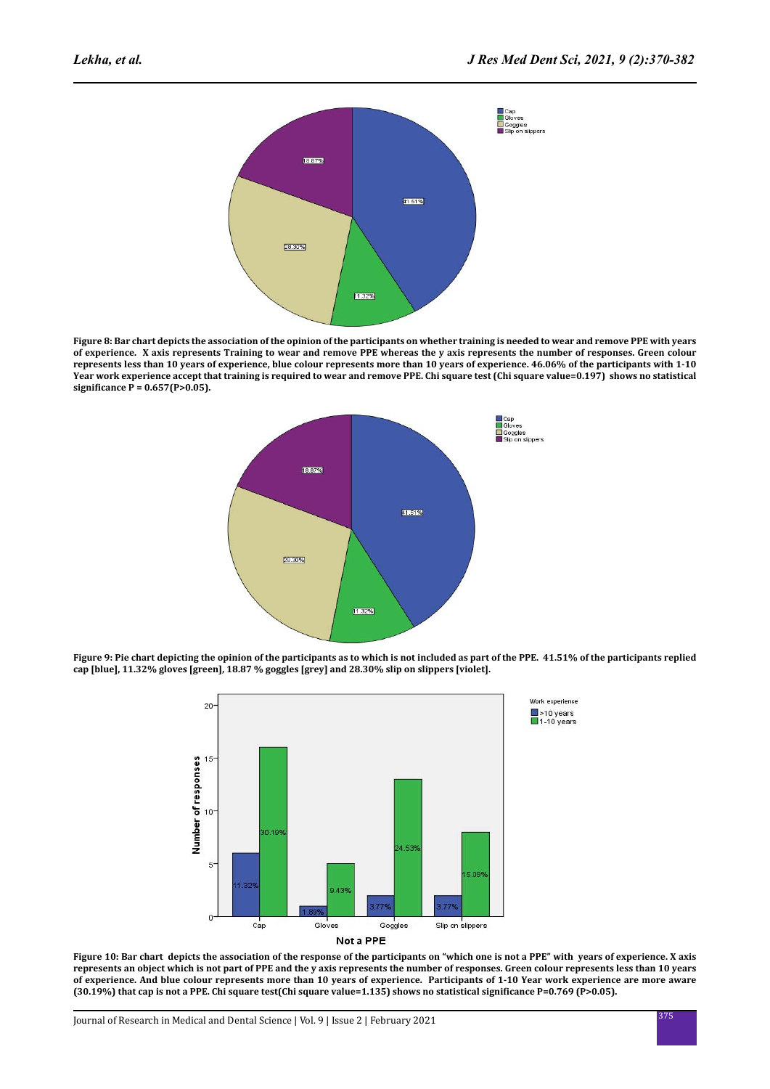

**Figure 8: Bar chart depicts the association of the opinion of the participants on whether training is needed to wear and remove PPE with years of experience. X axis represents Training to wear and remove PPE whereas the y axis represents the number of responses. Green colour represents less than 10 years of experience, blue colour represents more than 10 years of experience. 46.06% of the participants with 1-10 Year work experience accept that training is required to wear and remove PPE. Chi square test (Chi square value=0.197) shows no statistical significance P = 0.657(P>0.05).**



**Figure 9: Pie chart depicting the opinion of the participants as to which is not included as part of the PPE. 41.51% of the participants replied cap [blue], 11.32% gloves [green], 18.87 % goggles [grey] and 28.30% slip on slippers [violet].**



**Figure 10: Bar chart depicts the association of the response of the participants on "which one is not a PPE" with years of experience. X axis represents an object which is not part of PPE and the y axis represents the number of responses. Green colour represents less than 10 years of experience. And blue colour represents more than 10 years of experience. Participants of 1-10 Year work experience are more aware (30.19%) that cap is not a PPE. Chi square test(Chi square value=1.135) shows no statistical significance P=0.769 (P>0.05).**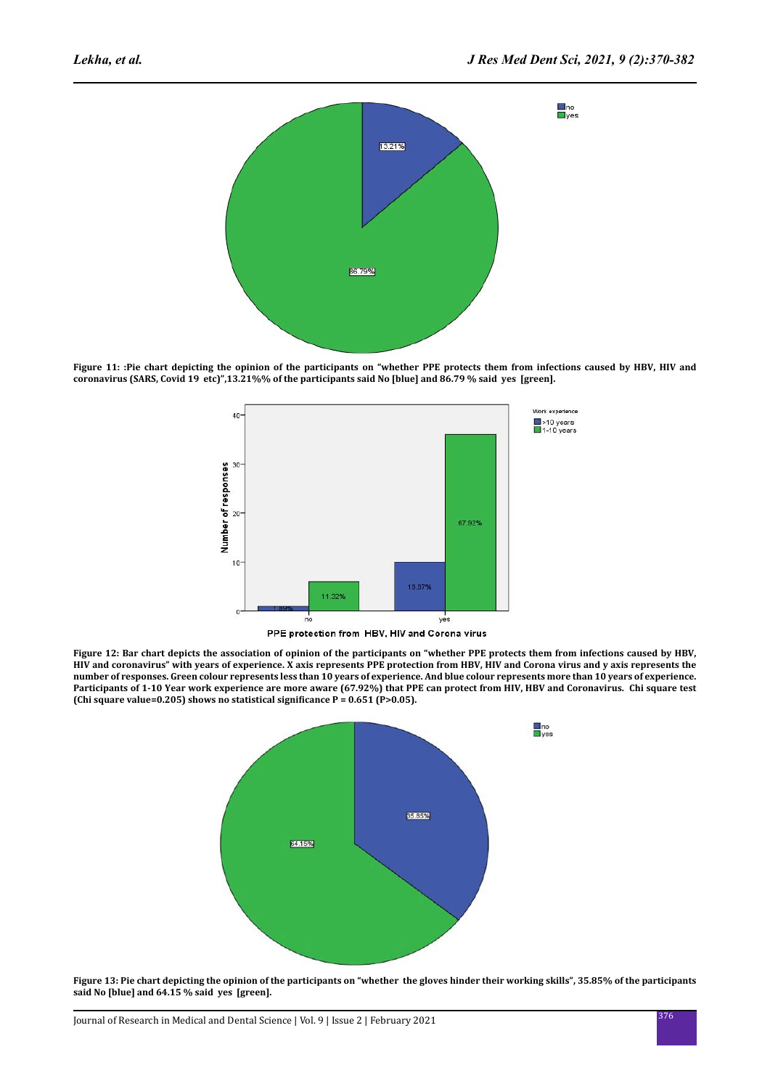

**Figure 11: :Pie chart depicting the opinion of the participants on "whether PPE protects them from infections caused by HBV, HIV and coronavirus (SARS, Covid 19 etc)",13.21%% of the participants said No [blue] and 86.79 % said yes [green].**



**Figure 12: Bar chart depicts the association of opinion of the participants on "whether PPE protects them from infections caused by HBV, HIV and coronavirus" with years of experience. X axis represents PPE protection from HBV, HIV and Corona virus and y axis represents the number of responses. Green colour represents less than 10 years of experience. And blue colour represents more than 10 years of experience. Participants of 1-10 Year work experience are more aware (67.92%) that PPE can protect from HIV, HBV and Coronavirus. Chi square test (Chi square value=0.205) shows no statistical significance P = 0.651 (P>0.05).**



**Figure 13: Pie chart depicting the opinion of the participants on "whether the gloves hinder their working skills", 35.85% of the participants said No [blue] and 64.15 % said yes [green].**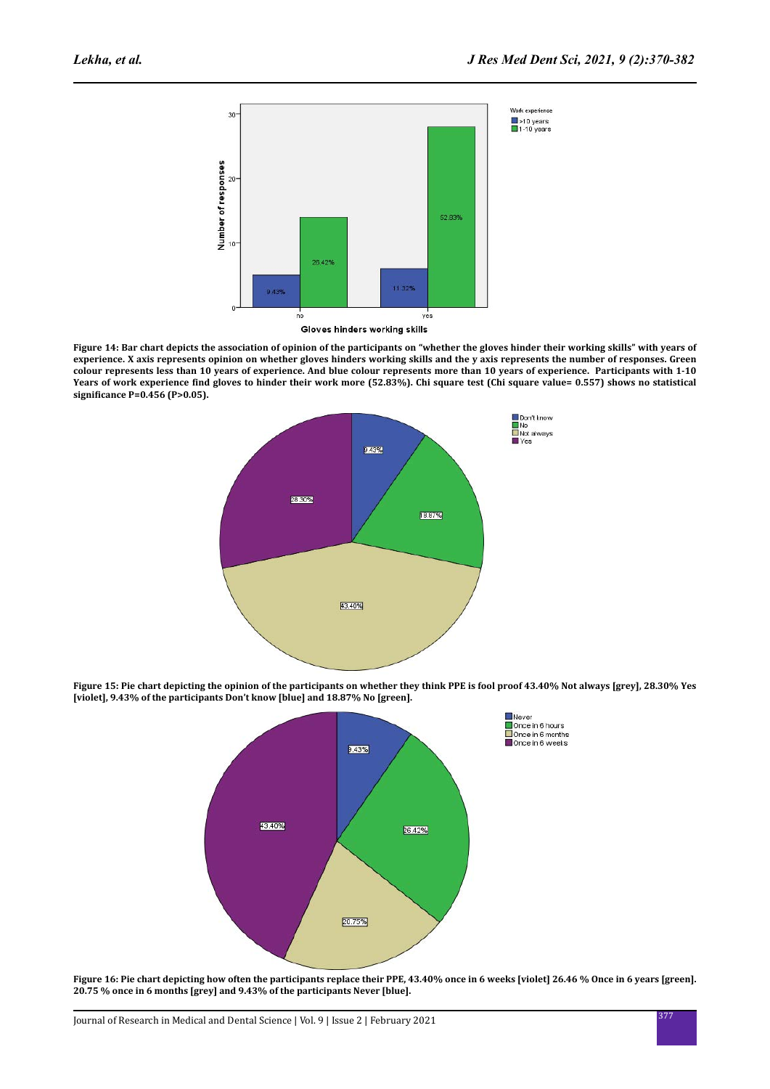

Gloves hinders working skills

**Figure 14: Bar chart depicts the association of opinion of the participants on "whether the gloves hinder their working skills" with years of experience. X axis represents opinion on whether gloves hinders working skills and the y axis represents the number of responses. Green colour represents less than 10 years of experience. And blue colour represents more than 10 years of experience. Participants with 1-10 Years of work experience find gloves to hinder their work more (52.83%). Chi square test (Chi square value= 0.557) shows no statistical significance P=0.456 (P>0.05).**



**Figure 15: Pie chart depicting the opinion of the participants on whether they think PPE is fool proof 43.40% Not always [grey], 28.30% Yes [violet], 9.43% of the participants Don't know [blue] and 18.87% No [green].** 



Figure 16: Pie chart depicting how often the participants replace their PPE, 43.40% once in 6 weeks [violet] 26.46 % Once in 6 years [green]. **20.75 % once in 6 months [grey] and 9.43% of the participants Never [blue].**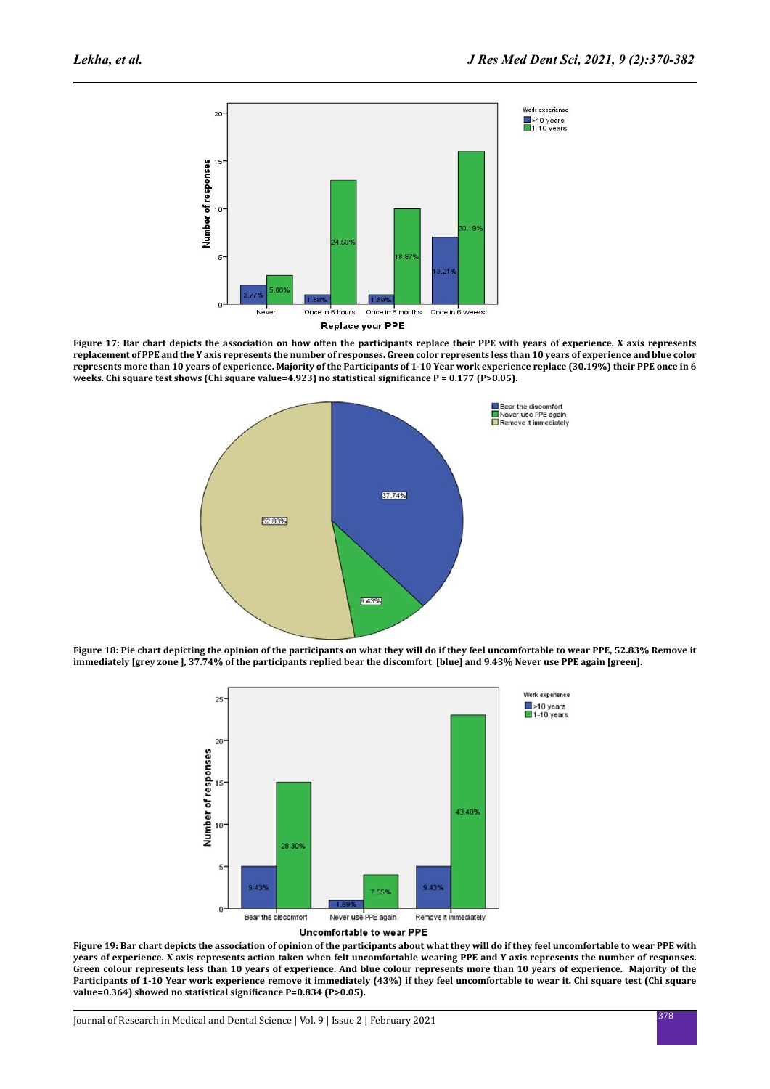

**Figure 17: Bar chart depicts the association on how often the participants replace their PPE with years of experience. X axis represents replacement of PPE and the Y axis represents the number of responses. Green color represents less than 10 years of experience and blue color represents more than 10 years of experience. Majority of the Participants of 1-10 Year work experience replace (30.19%) their PPE once in 6 weeks. Chi square test shows (Chi square value=4.923) no statistical significance P = 0.177 (P>0.05).**



**Figure 18: Pie chart depicting the opinion of the participants on what they will do if they feel uncomfortable to wear PPE, 52.83% Remove it immediately [grey zone ], 37.74% of the participants replied bear the discomfort [blue] and 9.43% Never use PPE again [green].** 



**Figure 19: Bar chart depicts the association of opinion of the participants about what they will do if they feel uncomfortable to wear PPE with years of experience. X axis represents action taken when felt uncomfortable wearing PPE and Y axis represents the number of responses. Green colour represents less than 10 years of experience. And blue colour represents more than 10 years of experience. Majority of the Participants of 1-10 Year work experience remove it immediately (43%) if they feel uncomfortable to wear it. Chi square test (Chi square value=0.364) showed no statistical significance P=0.834 (P>0.05).**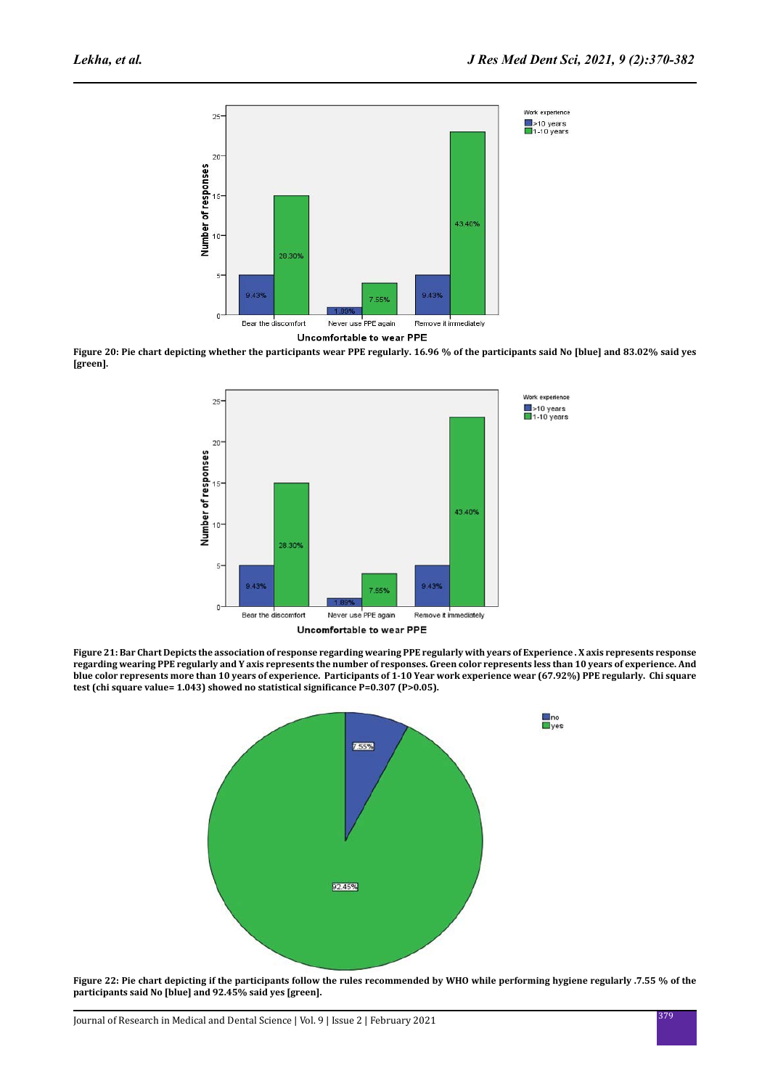

**Figure 20: Pie chart depicting whether the participants wear PPE regularly. 16.96 % of the participants said No [blue] and 83.02% said yes [green].**



**Figure 21: Bar Chart Depicts the association of response regarding wearing PPE regularly with years of Experience . X axis represents response regarding wearing PPE regularly and Y axis represents the number of responses. Green color represents less than 10 years of experience. And blue color represents more than 10 years of experience. Participants of 1-10 Year work experience wear (67.92%) PPE regularly. Chi square test (chi square value= 1.043) showed no statistical significance P=0.307 (P>0.05).**



**Figure 22: Pie chart depicting if the participants follow the rules recommended by WHO while performing hygiene regularly .7.55 % of the participants said No [blue] and 92.45% said yes [green].**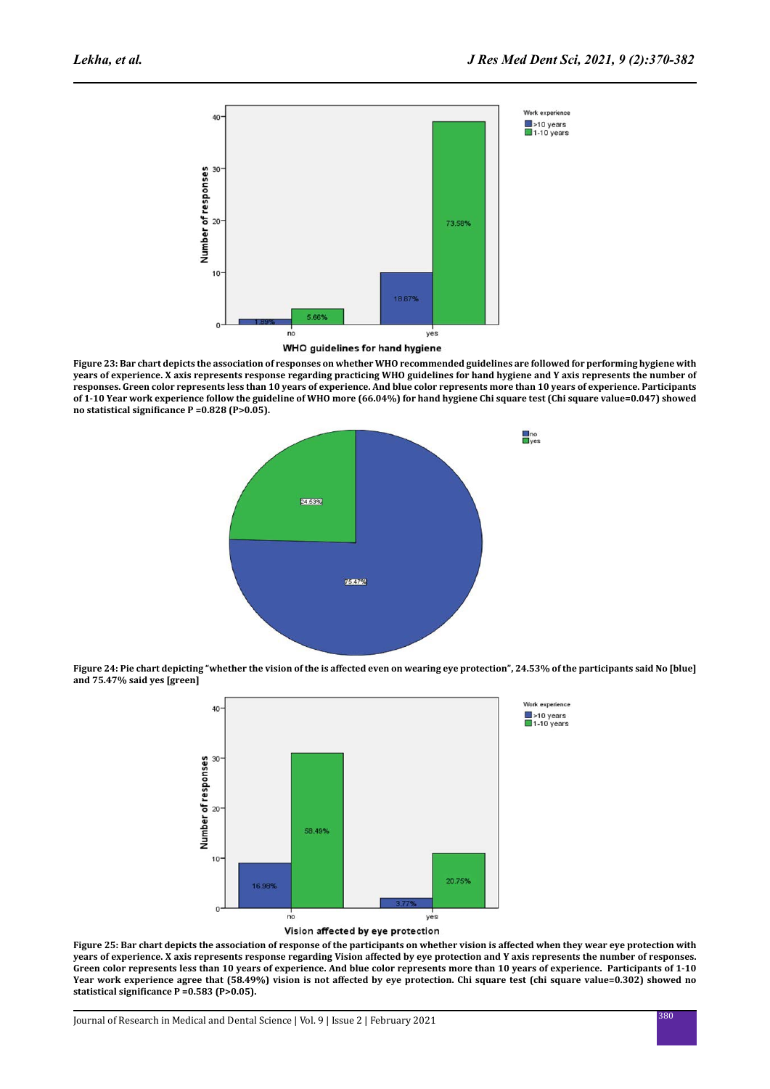

WHO guidelines for hand hygiene

**Figure 23: Bar chart depicts the association of responses on whether WHO recommended guidelines are followed for performing hygiene with years of experience. X axis represents response regarding practicing WHO guidelines for hand hygiene and Y axis represents the number of responses. Green color represents less than 10 years of experience. And blue color represents more than 10 years of experience. Participants of 1-10 Year work experience follow the guideline of WHO more (66.04%) for hand hygiene Chi square test (Chi square value=0.047) showed no statistical significance P =0.828 (P>0.05).**



**Figure 24: Pie chart depicting "whether the vision of the is affected even on wearing eye protection", 24.53% of the participants said No [blue] and 75.47% said yes [green]**



**Figure 25: Bar chart depicts the association of response of the participants on whether vision is affected when they wear eye protection with years of experience. X axis represents response regarding Vision affected by eye protection and Y axis represents the number of responses. Green color represents less than 10 years of experience. And blue color represents more than 10 years of experience. Participants of 1-10 Year work experience agree that (58.49%) vision is not affected by eye protection. Chi square test (chi square value=0.302) showed no statistical significance P =0.583 (P>0.05).**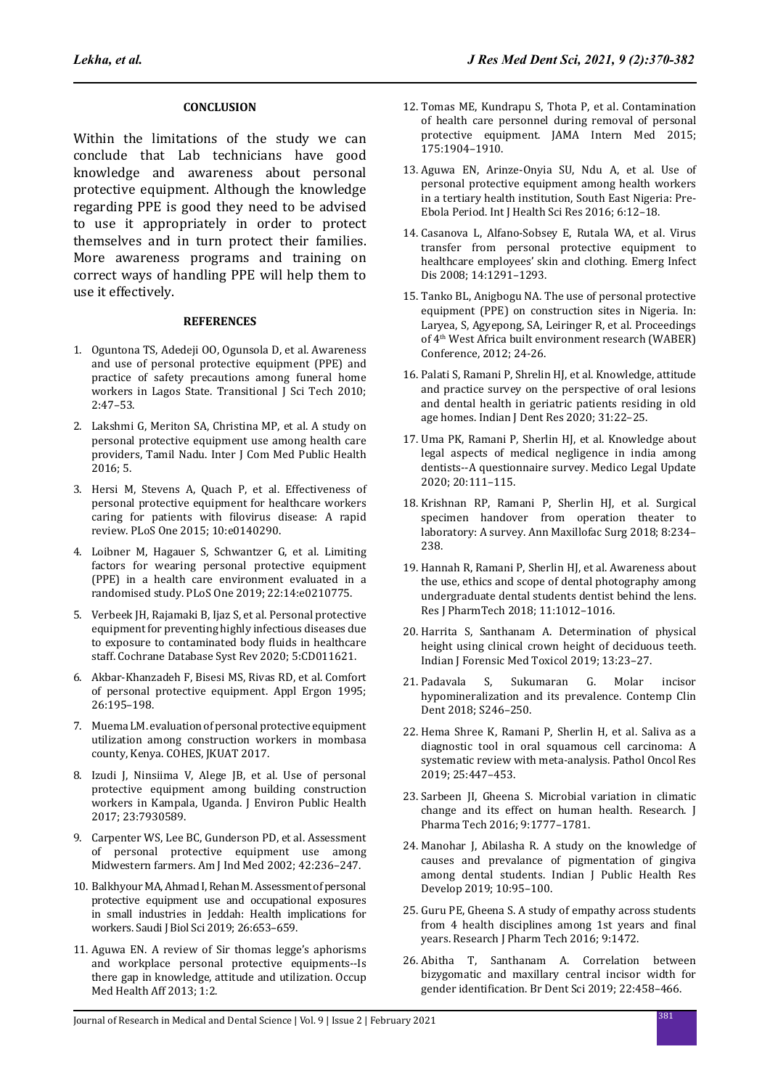#### **CONCLUSION**

Within the limitations of the study we can conclude that Lab technicians have good knowledge and awareness about personal protective equipment. Although the knowledge regarding PPE is good they need to be advised to use it appropriately in order to protect themselves and in turn protect their families. More awareness programs and training on correct ways of handling PPE will help them to use it effectively.

#### **REFERENCES**

- 1. Oguntona TS, Adedeji OO, Ogunsola D, et al. Awareness and use of personal protective equipment (PPE) and practice of safety precautions among funeral home workers in Lagos State. Transitional J Sci Tech 2010; 2:47–53.
- 2. Lakshmi G, Meriton SA, Christina MP, et al. A study on personal protective equipment use among health care providers, Tamil Nadu. Inter J Com Med Public Health 2016; 5.
- 3. Hersi M, Stevens A, Quach P, et al. Effectiveness of personal protective equipment for healthcare workers caring for patients with filovirus disease: A rapid review. PLoS One 2015; 10:e0140290.
- 4. Loibner M, Hagauer S, Schwantzer G, et al. Limiting factors for wearing personal protective equipment (PPE) in a health care environment evaluated in a randomised study. PLoS One 2019; 22:14:e0210775.
- 5. Verbeek JH, Rajamaki B, Ijaz S, et al. Personal protective equipment for preventing highly infectious diseases due to exposure to contaminated body fluids in healthcare staff. Cochrane Database Syst Rev 2020; 5:CD011621.
- 6. Akbar-Khanzadeh F, Bisesi MS, Rivas RD, et al. Comfort of personal protective equipment. Appl Ergon 1995; 26:195–198.
- 7. Muema LM. evaluation of personal protective equipment utilization among construction workers in mombasa county, Kenya. COHES, JKUAT 2017.
- 8. Izudi J, Ninsiima V, Alege JB, et al. Use of personal protective equipment among building construction workers in Kampala, Uganda. J Environ Public Health 2017; 23:7930589.
- 9. Carpenter WS, Lee BC, Gunderson PD, et al. Assessment of personal protective equipment use among Midwestern farmers. Am J Ind Med 2002; 42:236–247.
- 10. Balkhyour MA, Ahmad I, Rehan M. Assessment of personal protective equipment use and occupational exposures in small industries in Jeddah: Health implications for workers. Saudi J Biol Sci 2019; 26:653–659.
- 11. Aguwa EN. A review of Sir thomas legge's aphorisms and workplace personal protective equipments--Is there gap in knowledge, attitude and utilization. Occup Med Health Aff 2013; 1:2.
- 12. Tomas ME, Kundrapu S, Thota P, et al. Contamination of health care personnel during removal of personal protective equipment. JAMA Intern Med 2015; 175:1904–1910.
- 13. Aguwa EN, Arinze-Onyia SU, Ndu A, et al. Use of personal protective equipment among health workers in a tertiary health institution, South East Nigeria: Pre-Ebola Period. Int J Health Sci Res 2016; 6:12–18.
- 14. Casanova L, Alfano-Sobsey E, Rutala WA, et al. Virus transfer from personal protective equipment to healthcare employees' skin and clothing. Emerg Infect Dis 2008; 14:1291–1293.
- 15. Tanko BL, Anigbogu NA. The use of personal protective equipment (PPE) on construction sites in Nigeria. In: Laryea, S, Agyepong, SA, Leiringer R, et al. Proceedings of 4th West Africa built environment research (WABER) Conference, 2012; 24-26.
- 16. Palati S, Ramani P, Shrelin HJ, et al. Knowledge, attitude and practice survey on the perspective of oral lesions and dental health in geriatric patients residing in old age homes. Indian J Dent Res 2020; 31:22–25.
- 17. Uma PK, Ramani P, Sherlin HJ, et al. Knowledge about legal aspects of medical negligence in india among dentists--A questionnaire survey. Medico Legal Update 2020; 20:111–115.
- 18. Krishnan RP, Ramani P, Sherlin HJ, et al. Surgical specimen handover from operation theater to laboratory: A survey. Ann Maxillofac Surg 2018; 8:234– 238.
- 19. Hannah R, Ramani P, Sherlin HJ, et al. Awareness about the use, ethics and scope of dental photography among undergraduate dental students dentist behind the lens. Res J PharmTech 2018; 11:1012–1016.
- 20. Harrita S, Santhanam A. Determination of physical height using clinical crown height of deciduous teeth. Indian J Forensic Med Toxicol 2019; 13:23–27.
- 21. Padavala S, Sukumaran G. Molar incisor hypomineralization and its prevalence. Contemp Clin Dent 2018; S246–250.
- 22. Hema Shree K, Ramani P, Sherlin H, et al. Saliva as a diagnostic tool in oral squamous cell carcinoma: A systematic review with meta-analysis. Pathol Oncol Res 2019; 25:447–453.
- 23. Sarbeen JI, Gheena S. Microbial variation in climatic change and its effect on human health. Research. J Pharma Tech 2016; 9:1777–1781.
- 24. Manohar J, Abilasha R. A study on the knowledge of causes and prevalance of pigmentation of gingiva among dental students. Indian J Public Health Res Develop 2019; 10:95–100.
- 25. Guru PE, Gheena S. A study of empathy across students from 4 health disciplines among 1st years and final years. Research J Pharm Tech 2016; 9:1472.
- 26. Abitha T, Santhanam A. Correlation between bizygomatic and maxillary central incisor width for gender identification. Br Dent Sci 2019; 22:458–466.